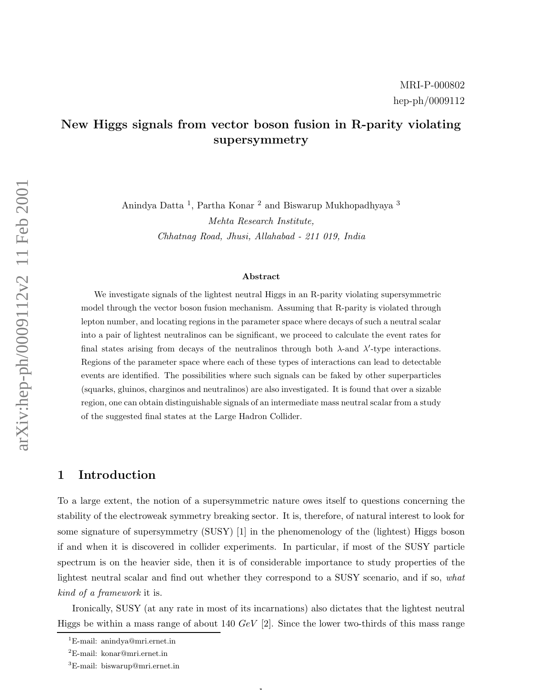# New Higgs signals from vector boson fusion in R-parity violating supersymmetry

Anindya Datta <sup>1</sup>, Partha Konar <sup>2</sup> and Biswarup Mukhopadhyaya <sup>3</sup> Mehta Research Institute, Chhatnag Road, Jhusi, Allahabad - 211 019, India

#### Abstract

We investigate signals of the lightest neutral Higgs in an R-parity violating supersymmetric model through the vector boson fusion mechanism. Assuming that R-parity is violated through lepton number, and locating regions in the parameter space where decays of such a neutral scalar into a pair of lightest neutralinos can be significant, we proceed to calculate the event rates for final states arising from decays of the neutralinos through both  $\lambda$ -and  $\lambda'$ -type interactions. Regions of the parameter space where each of these types of interactions can lead to detectable events are identified. The possibilities where such signals can be faked by other superparticles (squarks, gluinos, charginos and neutralinos) are also investigated. It is found that over a sizable region, one can obtain distinguishable signals of an intermediate mass neutral scalar from a study of the suggested final states at the Large Hadron Collider.

### 1 Introduction

To a large extent, the notion of a supersymmetric nature owes itself to questions concerning the stability of the electroweak symmetry breaking sector. It is, therefore, of natural interest to look for some signature of supersymmetry (SUSY) [1] in the phenomenology of the (lightest) Higgs boson if and when it is discovered in collider experiments. In particular, if most of the SUSY particle spectrum is on the heavier side, then it is of considerable importance to study properties of the lightest neutral scalar and find out whether they correspond to a SUSY scenario, and if so, what kind of a framework it is.

Ironically, SUSY (at any rate in most of its incarnations) also dictates that the lightest neutral Higgs be within a mass range of about 140  $GeV$  [2]. Since the lower two-thirds of this mass range

 $\mathbf{1}$ 

<sup>1</sup>E-mail: anindya@mri.ernet.in

<sup>2</sup>E-mail: konar@mri.ernet.in

<sup>3</sup>E-mail: biswarup@mri.ernet.in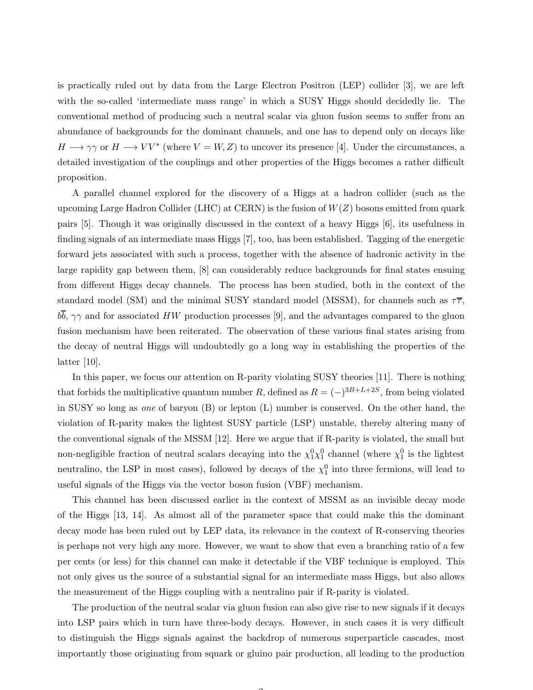is practically ruled out by data from the Large Electron Positron (LEP) collider [3], we are left with the so-called 'intermediate mass range' in which a SUSY Higgs should decidedly lie. The conventional method of producing such a neutral scalar via gluon fusion seems to suffer from an abundance of backgrounds for the dominant channels, and one has to depend only on decays like  $H \longrightarrow \gamma\gamma$  or  $H \longrightarrow VV^*$  (where  $V = W, Z$ ) to uncover its presence [4]. Under the circumstances, a detailed investigation of the couplings and other properties of the Higgs becomes a rather difficult proposition.

A parallel channel explored for the discovery of a Higgs at a hadron collider (such as the upcoming Large Hadron Collider (LHC) at CERN) is the fusion of  $W(Z)$  bosons emitted from quark pairs [5]. Though it was originally discussed in the context of a heavy Higgs [6], its usefulness in finding signals of an intermediate mass Higgs [7], too, has been established. Tagging of the energetic forward jets associated with such a process, together with the absence of hadronic activity in the large rapidity gap between them, [8] can considerably reduce backgrounds for final states ensuing from different Higgs decay channels. The process has been studied, both in the context of the standard model (SM) and the minimal SUSY standard model (MSSM), for channels such as  $\tau\overline{\tau}$ ,  $b\overline{b}$ ,  $\gamma\gamma$  and for associated HW production processes [9], and the advantages compared to the gluon fusion mechanism have been reiterated. The observation of these various final states arising from the decay of neutral Higgs will undoubtedly go a long way in establishing the properties of the latter  $|10|$ .

In this paper, we focus our attention on R-parity violating SUSY theories [11]. There is nothing that forbids the multiplicative quantum number R, defined as  $R = (-)^{3B+L+2S}$ , from being violated in SUSY so long as one of baryon (B) or lepton (L) number is conserved. On the other hand, the violation of R-parity makes the lightest SUSY particle (LSP) unstable, thereby altering many of the conventional signals of the MSSM [12]. Here we argue that if R-parity is violated, the small but non-negligible fraction of neutral scalars decaying into the  $\chi_1^0 \chi_1^0$  channel (where  $\chi_1^0$  is the lightest neutralino, the LSP in most cases), followed by decays of the  $\chi_1^0$  into three fermions, will lead to useful signals of the Higgs via the vector boson fusion (VBF) mechanism.

This channel has been discussed earlier in the context of MSSM as an invisible decay mode of the Higgs [13, 14]. As almost all of the parameter space that could make this the dominant decay mode has been ruled out by LEP data, its relevance in the context of R-conserving theories is perhaps not very high any more. However, we want to show that even a branching ratio of a few per cents (or less) for this channel can make it detectable if the VBF technique is employed. This not only gives us the source of a substantial signal for an intermediate mass Higgs, but also allows the measurement of the Higgs coupling with a neutralino pair if R-parity is violated.

The production of the neutral scalar via gluon fusion can also give rise to new signals if it decays into LSP pairs which in turn have three-body decays. However, in such cases it is very difficult to distinguish the Higgs signals against the backdrop of numerous superparticle cascades, most importantly those originating from squark or gluino pair production, all leading to the production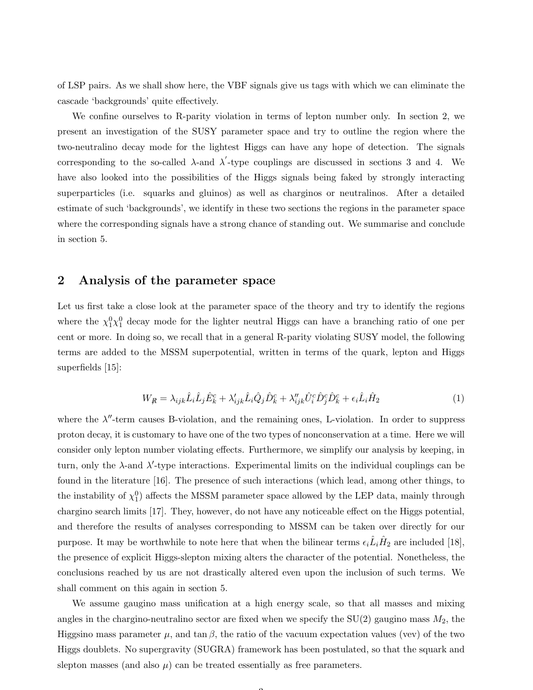of LSP pairs. As we shall show here, the VBF signals give us tags with which we can eliminate the cascade 'backgrounds' quite effectively.

We confine ourselves to R-parity violation in terms of lepton number only. In section 2, we present an investigation of the SUSY parameter space and try to outline the region where the two-neutralino decay mode for the lightest Higgs can have any hope of detection. The signals corresponding to the so-called  $\lambda$ -and  $\lambda'$ -type couplings are discussed in sections 3 and 4. We have also looked into the possibilities of the Higgs signals being faked by strongly interacting superparticles (i.e. squarks and gluinos) as well as charginos or neutralinos. After a detailed estimate of such 'backgrounds', we identify in these two sections the regions in the parameter space where the corresponding signals have a strong chance of standing out. We summarise and conclude in section 5.

#### 2 Analysis of the parameter space

Let us first take a close look at the parameter space of the theory and try to identify the regions where the  $\chi_1^0 \chi_1^0$  decay mode for the lighter neutral Higgs can have a branching ratio of one per cent or more. In doing so, we recall that in a general R-parity violating SUSY model, the following terms are added to the MSSM superpotential, written in terms of the quark, lepton and Higgs superfields [15]:

$$
W_{\mathcal{R}} = \lambda_{ijk} \hat{L}_i \hat{L}_j \hat{E}_k^c + \lambda'_{ijk} \hat{L}_i \hat{Q}_j \hat{D}_k^c + \lambda''_{ijk} \hat{U}_i^c \hat{D}_j^c \hat{D}_k^c + \epsilon_i \hat{L}_i \hat{H}_2 \tag{1}
$$

where the  $\lambda''$ -term causes B-violation, and the remaining ones, L-violation. In order to suppress proton decay, it is customary to have one of the two types of nonconservation at a time. Here we will consider only lepton number violating effects. Furthermore, we simplify our analysis by keeping, in turn, only the  $\lambda$ -and  $\lambda'$ -type interactions. Experimental limits on the individual couplings can be found in the literature [16]. The presence of such interactions (which lead, among other things, to the instability of  $\chi_1^0$ ) affects the MSSM parameter space allowed by the LEP data, mainly through chargino search limits [17]. They, however, do not have any noticeable effect on the Higgs potential, and therefore the results of analyses corresponding to MSSM can be taken over directly for our purpose. It may be worthwhile to note here that when the bilinear terms  $\epsilon_i \hat{L}_i \hat{H}_2$  are included [18], the presence of explicit Higgs-slepton mixing alters the character of the potential. Nonetheless, the conclusions reached by us are not drastically altered even upon the inclusion of such terms. We shall comment on this again in section 5.

We assume gaugino mass unification at a high energy scale, so that all masses and mixing angles in the chargino-neutralino sector are fixed when we specify the  $SU(2)$  gaugino mass  $M_2$ , the Higgsino mass parameter  $\mu$ , and  $\tan \beta$ , the ratio of the vacuum expectation values (vev) of the two Higgs doublets. No supergravity (SUGRA) framework has been postulated, so that the squark and slepton masses (and also  $\mu$ ) can be treated essentially as free parameters.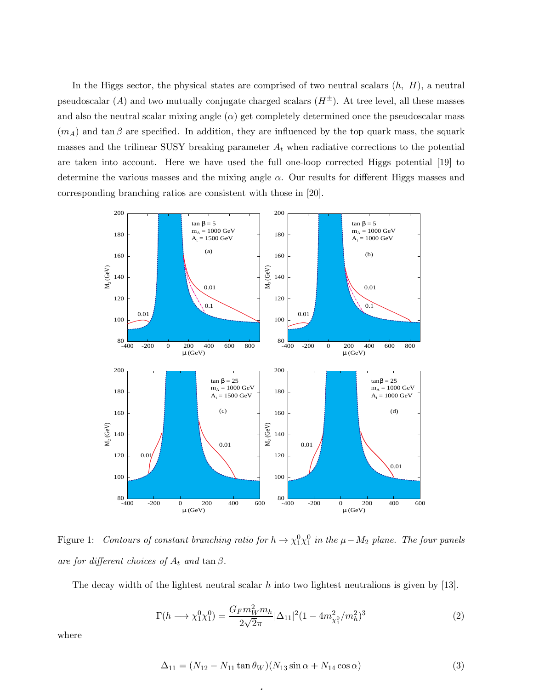In the Higgs sector, the physical states are comprised of two neutral scalars  $(h, H)$ , a neutral pseudoscalar (A) and two mutually conjugate charged scalars  $(H^{\pm})$ . At tree level, all these masses and also the neutral scalar mixing angle  $(\alpha)$  get completely determined once the pseudoscalar mass  $(m_A)$  and tan β are specified. In addition, they are influenced by the top quark mass, the squark masses and the trilinear SUSY breaking parameter  $A_t$  when radiative corrections to the potential are taken into account. Here we have used the full one-loop corrected Higgs potential [19] to determine the various masses and the mixing angle  $\alpha$ . Our results for different Higgs masses and corresponding branching ratios are consistent with those in [20].



Figure 1: Contours of constant branching ratio for  $h \to \chi_1^0 \chi_1^0$  in the  $\mu - M_2$  plane. The four panels are for different choices of  $A_t$  and  $\tan \beta$ .

The decay width of the lightest neutral scalar  $h$  into two lightest neutralions is given by [13].

4

$$
\Gamma(h \longrightarrow \chi_1^0 \chi_1^0) = \frac{G_F m_W^2 m_h}{2\sqrt{2}\pi} |\Delta_{11}|^2 (1 - 4m_{\chi_1^0}^2 / m_h^2)^3 \tag{2}
$$

where

$$
\Delta_{11} = (N_{12} - N_{11} \tan \theta_W)(N_{13} \sin \alpha + N_{14} \cos \alpha)
$$
\n(3)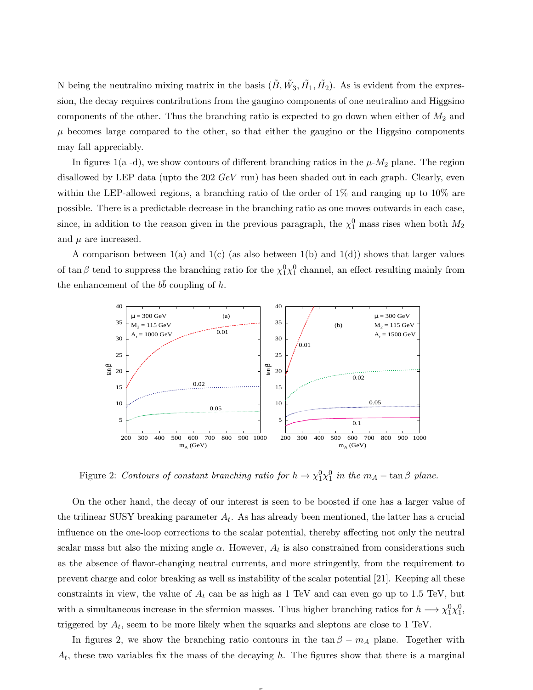N being the neutralino mixing matrix in the basis  $(\tilde{B}, \tilde{W_3}, \tilde{H_1}, \tilde{H_2})$ . As is evident from the expression, the decay requires contributions from the gaugino components of one neutralino and Higgsino components of the other. Thus the branching ratio is expected to go down when either of  $M_2$  and  $\mu$  becomes large compared to the other, so that either the gaugino or the Higgsino components may fall appreciably.

In figures 1(a -d), we show contours of different branching ratios in the  $\mu$ - $M_2$  plane. The region disallowed by LEP data (upto the  $202 \text{ GeV}$  run) has been shaded out in each graph. Clearly, even within the LEP-allowed regions, a branching ratio of the order of  $1\%$  and ranging up to  $10\%$  are possible. There is a predictable decrease in the branching ratio as one moves outwards in each case, since, in addition to the reason given in the previous paragraph, the  $\chi_1^0$  mass rises when both  $M_2$ and  $\mu$  are increased.

A comparison between  $1(a)$  and  $1(c)$  (as also between  $1(b)$  and  $1(d)$ ) shows that larger values of tan  $\beta$  tend to suppress the branching ratio for the  $\chi_1^0 \chi_1^0$  channel, an effect resulting mainly from the enhancement of the  $b\bar{b}$  coupling of h.



Figure 2: Contours of constant branching ratio for  $h \to \chi_1^0 \chi_1^0$  in the  $m_A - \tan \beta$  plane.

On the other hand, the decay of our interest is seen to be boosted if one has a larger value of the trilinear SUSY breaking parameter  $A_t$ . As has already been mentioned, the latter has a crucial influence on the one-loop corrections to the scalar potential, thereby affecting not only the neutral scalar mass but also the mixing angle  $\alpha$ . However,  $A_t$  is also constrained from considerations such as the absence of flavor-changing neutral currents, and more stringently, from the requirement to prevent charge and color breaking as well as instability of the scalar potential [21]. Keeping all these constraints in view, the value of  $A_t$  can be as high as 1 TeV and can even go up to 1.5 TeV, but with a simultaneous increase in the sfermion masses. Thus higher branching ratios for  $h \longrightarrow \chi_1^0 \chi_1^0$ , triggered by  $A_t$ , seem to be more likely when the squarks and sleptons are close to 1 TeV.

In figures 2, we show the branching ratio contours in the tan  $\beta - m_A$  plane. Together with  $A_t$ , these two variables fix the mass of the decaying h. The figures show that there is a marginal

5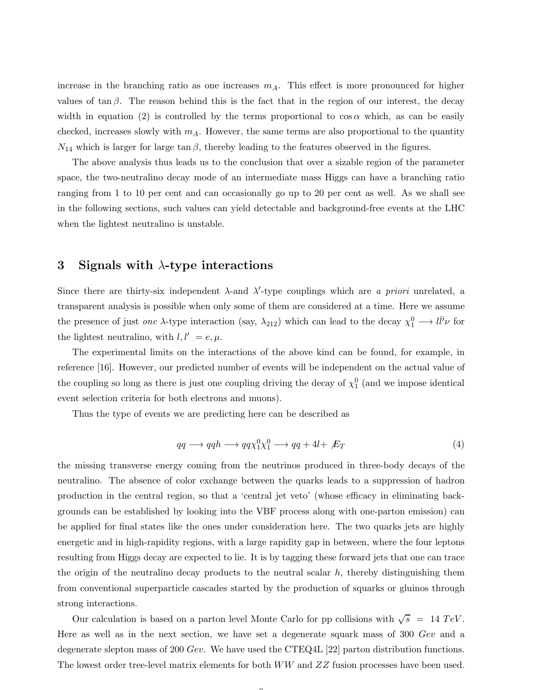increase in the branching ratio as one increases  $m_A$ . This effect is more pronounced for higher values of tan  $\beta$ . The reason behind this is the fact that in the region of our interest, the decay width in equation (2) is controlled by the terms proportional to  $\cos \alpha$  which, as can be easily checked, increases slowly with  $m_A$ . However, the same terms are also proportional to the quantity  $N_{14}$  which is larger for large  $\tan \beta$ , thereby leading to the features observed in the figures.

The above analysis thus leads us to the conclusion that over a sizable region of the parameter space, the two-neutralino decay mode of an intermediate mass Higgs can have a branching ratio ranging from 1 to 10 per cent and can occasionally go up to 20 per cent as well. As we shall see in the following sections, such values can yield detectable and background-free events at the LHC when the lightest neutralino is unstable.

#### 3 Signals with  $\lambda$ -type interactions

Since there are thirty-six independent  $\lambda$ -and  $\lambda'$ -type couplings which are *a priori* unrelated, a transparent analysis is possible when only some of them are considered at a time. Here we assume the presence of just *one*  $\lambda$ -type interaction (say,  $\lambda_{212}$ ) which can lead to the decay  $\chi_1^0 \longrightarrow l \bar{l'} \nu$  for the lightest neutralino, with  $l, l' = e, \mu$ .

The experimental limits on the interactions of the above kind can be found, for example, in reference [16]. However, our predicted number of events will be independent on the actual value of the coupling so long as there is just one coupling driving the decay of  $\chi_1^0$  (and we impose identical event selection criteria for both electrons and muons).

Thus the type of events we are predicting here can be described as

$$
qq \longrightarrow qqh \longrightarrow qq\chi_1^0\chi_1^0 \longrightarrow qq + 4l + \not{E}_T
$$
\n<sup>(4)</sup>

the missing transverse energy coming from the neutrinos produced in three-body decays of the neutralino. The absence of color exchange between the quarks leads to a suppression of hadron production in the central region, so that a 'central jet veto' (whose efficacy in eliminating backgrounds can be established by looking into the VBF process along with one-parton emission) can be applied for final states like the ones under consideration here. The two quarks jets are highly energetic and in high-rapidity regions, with a large rapidity gap in between, where the four leptons resulting from Higgs decay are expected to lie. It is by tagging these forward jets that one can trace the origin of the neutralino decay products to the neutral scalar  $h$ , thereby distinguishing them from conventional superparticle cascades started by the production of squarks or gluinos through strong interactions.

Our calculation is based on a parton level Monte Carlo for pp collisions with  $\sqrt{s}$  = 14 TeV. Here as well as in the next section, we have set a degenerate squark mass of 300 Gev and a degenerate slepton mass of 200 Gev. We have used the CTEQ4L [22] parton distribution functions. The lowest order tree-level matrix elements for both  $WW$  and  $ZZ$  fusion processes have been used.

 $\sqrt{2}$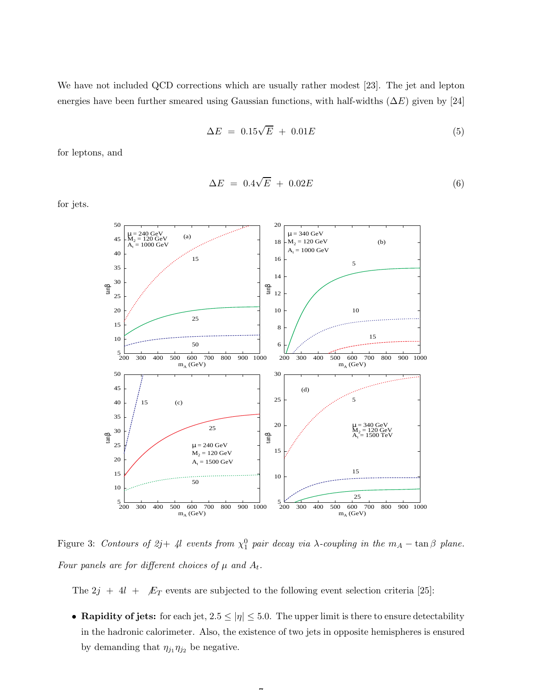We have not included QCD corrections which are usually rather modest [23]. The jet and lepton energies have been further smeared using Gaussian functions, with half-widths  $(\Delta E)$  given by [24]

$$
\Delta E = 0.15\sqrt{E} + 0.01E \tag{5}
$$

for leptons, and

$$
\Delta E = 0.4\sqrt{E} + 0.02E \tag{6}
$$

for jets.



Figure 3: Contours of  $2j+4l$  events from  $\chi_1^0$  pair decay via  $\lambda$ -coupling in the  $m_A - \tan \beta$  plane. Four panels are for different choices of  $\mu$  and  $A_t$ .

The  $2j + 4l + \not{E}_T$  events are subjected to the following event selection criteria [25]:

• Rapidity of jets: for each jet,  $2.5 \leq |\eta| \leq 5.0$ . The upper limit is there to ensure detectability in the hadronic calorimeter. Also, the existence of two jets in opposite hemispheres is ensured by demanding that  $\eta_{j_1}\eta_{j_2}$  be negative.

 $\rightarrow$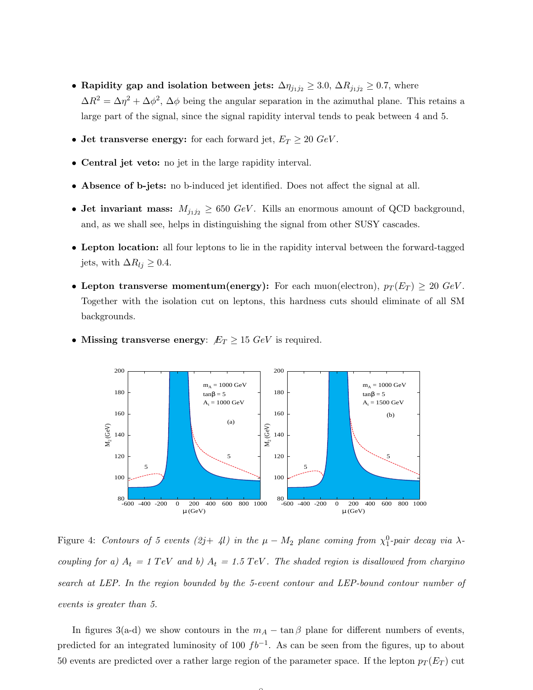- Rapidity gap and isolation between jets:  $\Delta \eta_{j_1 j_2} \geq 3.0$ ,  $\Delta R_{j_1 j_2} \geq 0.7$ , where  $\Delta R^2 = \Delta \eta^2 + \Delta \phi^2$ ,  $\Delta \phi$  being the angular separation in the azimuthal plane. This retains a large part of the signal, since the signal rapidity interval tends to peak between 4 and 5.
- Jet transverse energy: for each forward jet,  $E_T \geq 20 \text{ GeV}$ .
- Central jet veto: no jet in the large rapidity interval.
- Absence of b-jets: no b-induced jet identified. Does not affect the signal at all.
- Jet invariant mass:  $M_{j_1j_2} \geq 650 \text{ GeV}$ . Kills an enormous amount of QCD background, and, as we shall see, helps in distinguishing the signal from other SUSY cascades.
- Lepton location: all four leptons to lie in the rapidity interval between the forward-tagged jets, with  $\Delta R_{lj} \geq 0.4$ .
- Lepton transverse momentum(energy): For each muon(electron),  $p_T(E_T) \geq 20 \text{ GeV}$ . Together with the isolation cut on leptons, this hardness cuts should eliminate of all SM backgrounds.



• Missing transverse energy:  $E_T \ge 15 \text{ GeV}$  is required.

Figure 4: Contours of 5 events  $(2j+4l)$  in the  $\mu-M_2$  plane coming from  $\chi_1^0$ -pair decay via  $\lambda$ coupling for a)  $A_t = 1 \text{ TeV}$  and b)  $A_t = 1.5 \text{ TeV}$ . The shaded region is disallowed from chargino search at LEP. In the region bounded by the 5-event contour and LEP-bound contour number of events is greater than 5.

In figures 3(a-d) we show contours in the  $m_A - \tan \beta$  plane for different numbers of events, predicted for an integrated luminosity of 100  $fb^{-1}$ . As can be seen from the figures, up to about 50 events are predicted over a rather large region of the parameter space. If the lepton  $p_T (E_T)$  cut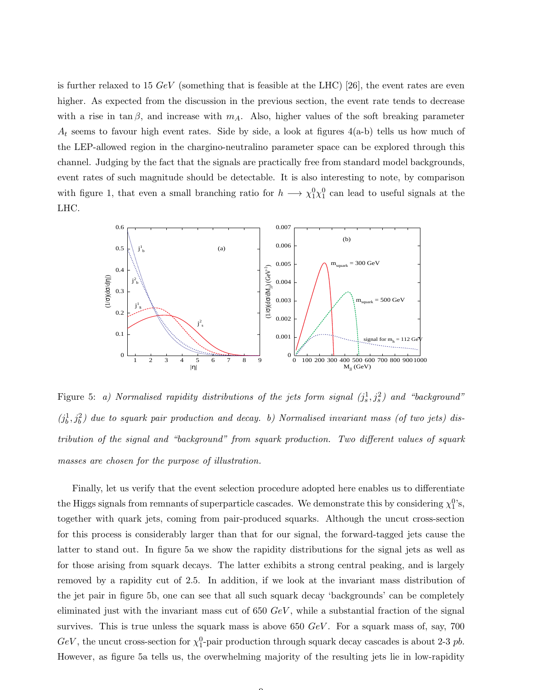is further relaxed to 15  $GeV$  (something that is feasible at the LHC) [26], the event rates are even higher. As expected from the discussion in the previous section, the event rate tends to decrease with a rise in tan  $\beta$ , and increase with  $m_A$ . Also, higher values of the soft breaking parameter  $A_t$  seems to favour high event rates. Side by side, a look at figures  $4(a-b)$  tells us how much of the LEP-allowed region in the chargino-neutralino parameter space can be explored through this channel. Judging by the fact that the signals are practically free from standard model backgrounds, event rates of such magnitude should be detectable. It is also interesting to note, by comparison with figure 1, that even a small branching ratio for  $h \longrightarrow \chi_1^0 \chi_1^0$  can lead to useful signals at the LHC.



Figure 5: a) Normalised rapidity distributions of the jets form signal  $(j_s^1, j_s^2)$  and "background"  $(j_b^1, j_b^2)$  due to squark pair production and decay. b) Normalised invariant mass (of two jets) distribution of the signal and "background" from squark production. Two different values of squark masses are chosen for the purpose of illustration.

Finally, let us verify that the event selection procedure adopted here enables us to differentiate the Higgs signals from remnants of superparticle cascades. We demonstrate this by considering  $\chi_1^{0}$ 's, together with quark jets, coming from pair-produced squarks. Although the uncut cross-section for this process is considerably larger than that for our signal, the forward-tagged jets cause the latter to stand out. In figure 5a we show the rapidity distributions for the signal jets as well as for those arising from squark decays. The latter exhibits a strong central peaking, and is largely removed by a rapidity cut of 2.5. In addition, if we look at the invariant mass distribution of the jet pair in figure 5b, one can see that all such squark decay 'backgrounds' can be completely eliminated just with the invariant mass cut of  $650 \text{ GeV}$ , while a substantial fraction of the signal survives. This is true unless the squark mass is above 650  $GeV$ . For a squark mass of, say, 700  $GeV$ , the uncut cross-section for  $\chi_1^0$ -pair production through squark decay cascades is about 2-3 pb. However, as figure 5a tells us, the overwhelming majority of the resulting jets lie in low-rapidity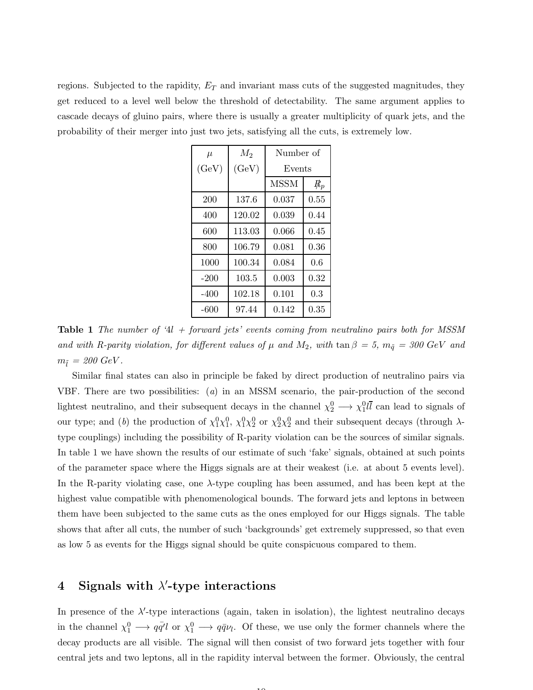regions. Subjected to the rapidity,  $E_T$  and invariant mass cuts of the suggested magnitudes, they get reduced to a level well below the threshold of detectability. The same argument applies to cascade decays of gluino pairs, where there is usually a greater multiplicity of quark jets, and the probability of their merger into just two jets, satisfying all the cuts, is extremely low.

| $\mu$  | $M_2$  | Number of   |       |
|--------|--------|-------------|-------|
| (GeV)  | (GeV)  | Events      |       |
|        |        | <b>MSSM</b> | $R_p$ |
| 200    | 137.6  | 0.037       | 0.55  |
| 400    | 120.02 | 0.039       | 0.44  |
| 600    | 113.03 | 0.066       | 0.45  |
| 800    | 106.79 | 0.081       | 0.36  |
| 1000   | 100.34 | 0.084       | 0.6   |
| $-200$ | 103.5  | 0.003       | 0.32  |
| $-400$ | 102.18 | 0.101       | 0.3   |
| -600   | 97.44  | 0.142       | 0.35  |

Table 1 The number of '4l + forward jets' events coming from neutralino pairs both for MSSM and with R-parity violation, for different values of  $\mu$  and  $M_2$ , with  $\tan \beta = 5$ ,  $m_{\tilde{q}} = 300$  GeV and  $m_{\tilde{l}} = 200 \text{ GeV}.$ 

Similar final states can also in principle be faked by direct production of neutralino pairs via VBF. There are two possibilities: (a) in an MSSM scenario, the pair-production of the second lightest neutralino, and their subsequent decays in the channel  $\chi_2^0 \longrightarrow \chi_1^0 l \bar{l}$  can lead to signals of our type; and (b) the production of  $\chi_1^0 \chi_1^0$ ,  $\chi_1^0 \chi_2^0$  or  $\chi_2^0 \chi_2^0$  and their subsequent decays (through  $\lambda$ type couplings) including the possibility of R-parity violation can be the sources of similar signals. In table 1 we have shown the results of our estimate of such 'fake' signals, obtained at such points of the parameter space where the Higgs signals are at their weakest (i.e. at about 5 events level). In the R-parity violating case, one  $\lambda$ -type coupling has been assumed, and has been kept at the highest value compatible with phenomenological bounds. The forward jets and leptons in between them have been subjected to the same cuts as the ones employed for our Higgs signals. The table shows that after all cuts, the number of such 'backgrounds' get extremely suppressed, so that even as low 5 as events for the Higgs signal should be quite conspicuous compared to them.

# 4 Signals with  $\lambda'$ -type interactions

In presence of the  $\lambda'$ -type interactions (again, taken in isolation), the lightest neutralino decays in the channel  $\chi_1^0 \to q\bar{q}' l$  or  $\chi_1^0 \to q\bar{q}\nu_l$ . Of these, we use only the former channels where the decay products are all visible. The signal will then consist of two forward jets together with four central jets and two leptons, all in the rapidity interval between the former. Obviously, the central

 $\overline{10}$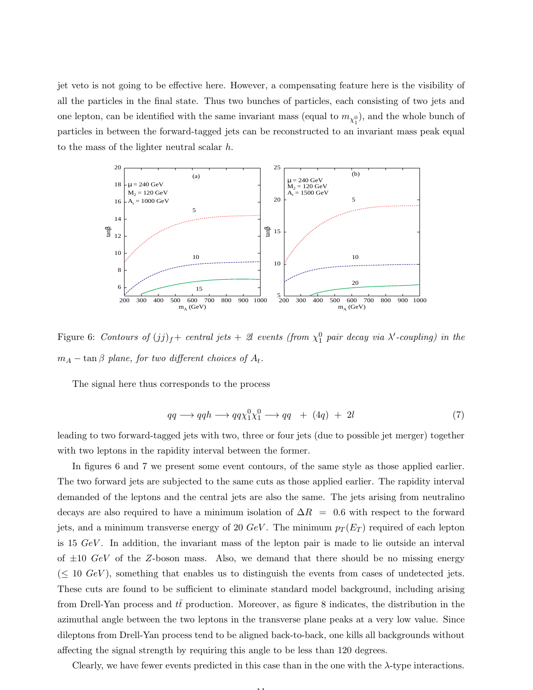jet veto is not going to be effective here. However, a compensating feature here is the visibility of all the particles in the final state. Thus two bunches of particles, each consisting of two jets and one lepton, can be identified with the same invariant mass (equal to  $m_{\chi_1^0}$ ), and the whole bunch of particles in between the forward-tagged jets can be reconstructed to an invariant mass peak equal to the mass of the lighter neutral scalar h.



Figure 6: Contours of  $(jj)_f$  + central jets + 2l events (from  $\chi_1^0$  pair decay via  $\lambda'$ -coupling) in the  $m_A - \tan \beta$  plane, for two different choices of  $A_t$ .

The signal here thus corresponds to the process

$$
qq \longrightarrow qqh \longrightarrow qq\chi_1^0\chi_1^0 \longrightarrow qq + (4q) + 2l \tag{7}
$$

leading to two forward-tagged jets with two, three or four jets (due to possible jet merger) together with two leptons in the rapidity interval between the former.

In figures 6 and 7 we present some event contours, of the same style as those applied earlier. The two forward jets are subjected to the same cuts as those applied earlier. The rapidity interval demanded of the leptons and the central jets are also the same. The jets arising from neutralino decays are also required to have a minimum isolation of  $\Delta R = 0.6$  with respect to the forward jets, and a minimum transverse energy of 20  $GeV$ . The minimum  $p_T(E_T)$  required of each lepton is 15 GeV . In addition, the invariant mass of the lepton pair is made to lie outside an interval of  $\pm 10$  GeV of the Z-boson mass. Also, we demand that there should be no missing energy  $(\leq 10 \; GeV)$ , something that enables us to distinguish the events from cases of undetected jets. These cuts are found to be sufficient to eliminate standard model background, including arising from Drell-Yan process and  $tt$  production. Moreover, as figure 8 indicates, the distribution in the azimuthal angle between the two leptons in the transverse plane peaks at a very low value. Since dileptons from Drell-Yan process tend to be aligned back-to-back, one kills all backgrounds without affecting the signal strength by requiring this angle to be less than 120 degrees.

Clearly, we have fewer events predicted in this case than in the one with the  $\lambda$ -type interactions.

11.11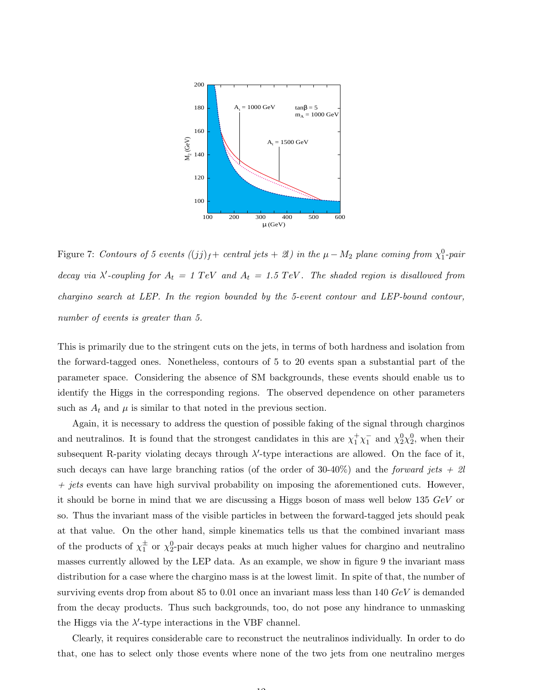

Figure 7: Contours of 5 events  $((jj)_f+$  central jets  $+2l$ ) in the  $\mu-M_2$  plane coming from  $\chi_1^0$ -pair decay via  $\lambda'$ -coupling for  $A_t = 1$  TeV and  $A_t = 1.5$  TeV. The shaded region is disallowed from chargino search at LEP. In the region bounded by the 5-event contour and LEP-bound contour, number of events is greater than 5.

This is primarily due to the stringent cuts on the jets, in terms of both hardness and isolation from the forward-tagged ones. Nonetheless, contours of 5 to 20 events span a substantial part of the parameter space. Considering the absence of SM backgrounds, these events should enable us to identify the Higgs in the corresponding regions. The observed dependence on other parameters such as  $A_t$  and  $\mu$  is similar to that noted in the previous section.

Again, it is necessary to address the question of possible faking of the signal through charginos and neutralinos. It is found that the strongest candidates in this are  $\chi_1^+\chi_1^-$  and  $\chi_2^0\chi_2^0$ , when their subsequent R-parity violating decays through  $\lambda'$ -type interactions are allowed. On the face of it, such decays can have large branching ratios (of the order of 30-40%) and the *forward jets + 2l*  $+$  jets events can have high survival probability on imposing the aforementioned cuts. However, it should be borne in mind that we are discussing a Higgs boson of mass well below 135  $GeV$  or so. Thus the invariant mass of the visible particles in between the forward-tagged jets should peak at that value. On the other hand, simple kinematics tells us that the combined invariant mass of the products of  $\chi_1^{\pm}$  or  $\chi_2^0$ -pair decays peaks at much higher values for chargino and neutralino masses currently allowed by the LEP data. As an example, we show in figure 9 the invariant mass distribution for a case where the chargino mass is at the lowest limit. In spite of that, the number of surviving events drop from about 85 to 0.01 once an invariant mass less than 140 GeV is demanded from the decay products. Thus such backgrounds, too, do not pose any hindrance to unmasking the Higgs via the  $\lambda'$ -type interactions in the VBF channel.

Clearly, it requires considerable care to reconstruct the neutralinos individually. In order to do that, one has to select only those events where none of the two jets from one neutralino merges

 $\overline{1}$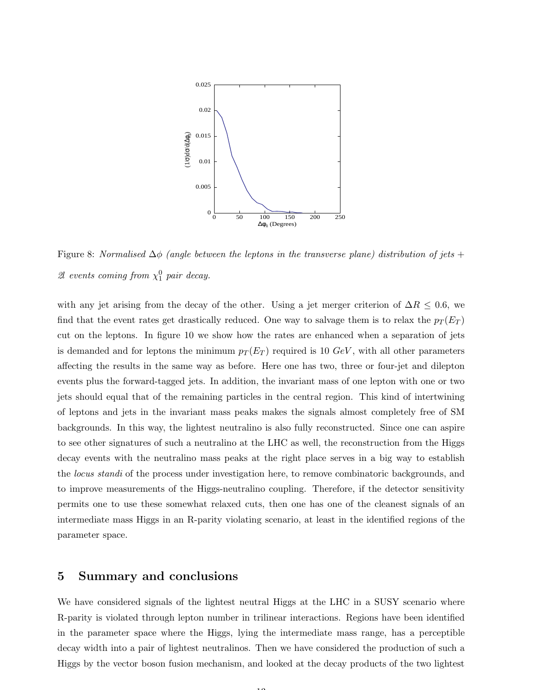

Figure 8: Normalised  $\Delta\phi$  (angle between the leptons in the transverse plane) distribution of jets + 2l events coming from  $\chi_1^0$  pair decay.

with any jet arising from the decay of the other. Using a jet merger criterion of  $\Delta R \leq 0.6$ , we find that the event rates get drastically reduced. One way to salvage them is to relax the  $p_T(E_T)$ cut on the leptons. In figure 10 we show how the rates are enhanced when a separation of jets is demanded and for leptons the minimum  $p_T(E_T)$  required is 10  $GeV$ , with all other parameters affecting the results in the same way as before. Here one has two, three or four-jet and dilepton events plus the forward-tagged jets. In addition, the invariant mass of one lepton with one or two jets should equal that of the remaining particles in the central region. This kind of intertwining of leptons and jets in the invariant mass peaks makes the signals almost completely free of SM backgrounds. In this way, the lightest neutralino is also fully reconstructed. Since one can aspire to see other signatures of such a neutralino at the LHC as well, the reconstruction from the Higgs decay events with the neutralino mass peaks at the right place serves in a big way to establish the *locus standi* of the process under investigation here, to remove combinatoric backgrounds, and to improve measurements of the Higgs-neutralino coupling. Therefore, if the detector sensitivity permits one to use these somewhat relaxed cuts, then one has one of the cleanest signals of an intermediate mass Higgs in an R-parity violating scenario, at least in the identified regions of the parameter space.

#### 5 Summary and conclusions

We have considered signals of the lightest neutral Higgs at the LHC in a SUSY scenario where R-parity is violated through lepton number in trilinear interactions. Regions have been identified in the parameter space where the Higgs, lying the intermediate mass range, has a perceptible decay width into a pair of lightest neutralinos. Then we have considered the production of such a Higgs by the vector boson fusion mechanism, and looked at the decay products of the two lightest

10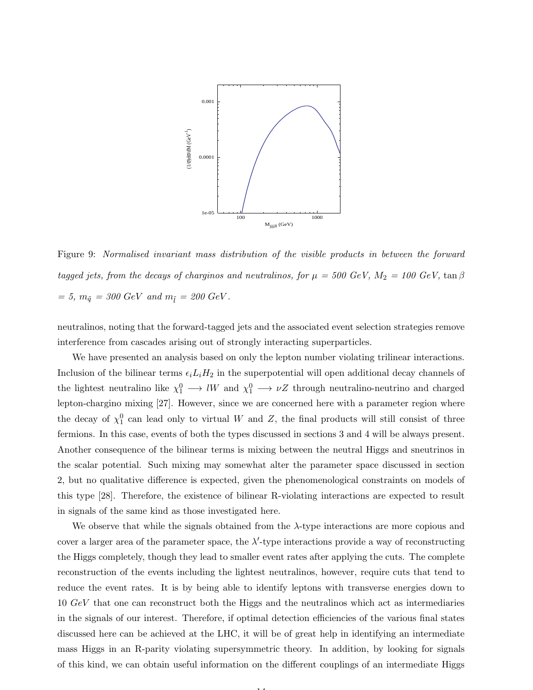

Figure 9: Normalised invariant mass distribution of the visible products in between the forward tagged jets, from the decays of charginos and neutralinos, for  $\mu = 500$  GeV,  $M_2 = 100$  GeV,  $\tan \beta$ = 5,  $m_{\tilde{q}}$  = 300 GeV and  $m_{\tilde{l}}$  = 200 GeV.

neutralinos, noting that the forward-tagged jets and the associated event selection strategies remove interference from cascades arising out of strongly interacting superparticles.

We have presented an analysis based on only the lepton number violating trilinear interactions. Inclusion of the bilinear terms  $\epsilon_i L_i H_2$  in the superpotential will open additional decay channels of the lightest neutralino like  $\chi_1^0 \longrightarrow lW$  and  $\chi_1^0 \longrightarrow \nu Z$  through neutralino-neutrino and charged lepton-chargino mixing [27]. However, since we are concerned here with a parameter region where the decay of  $\chi_1^0$  can lead only to virtual W and Z, the final products will still consist of three fermions. In this case, events of both the types discussed in sections 3 and 4 will be always present. Another consequence of the bilinear terms is mixing between the neutral Higgs and sneutrinos in the scalar potential. Such mixing may somewhat alter the parameter space discussed in section 2, but no qualitative difference is expected, given the phenomenological constraints on models of this type [28]. Therefore, the existence of bilinear R-violating interactions are expected to result in signals of the same kind as those investigated here.

We observe that while the signals obtained from the  $\lambda$ -type interactions are more copious and cover a larger area of the parameter space, the  $\lambda'$ -type interactions provide a way of reconstructing the Higgs completely, though they lead to smaller event rates after applying the cuts. The complete reconstruction of the events including the lightest neutralinos, however, require cuts that tend to reduce the event rates. It is by being able to identify leptons with transverse energies down to 10 GeV that one can reconstruct both the Higgs and the neutralinos which act as intermediaries in the signals of our interest. Therefore, if optimal detection efficiencies of the various final states discussed here can be achieved at the LHC, it will be of great help in identifying an intermediate mass Higgs in an R-parity violating supersymmetric theory. In addition, by looking for signals of this kind, we can obtain useful information on the different couplings of an intermediate Higgs

14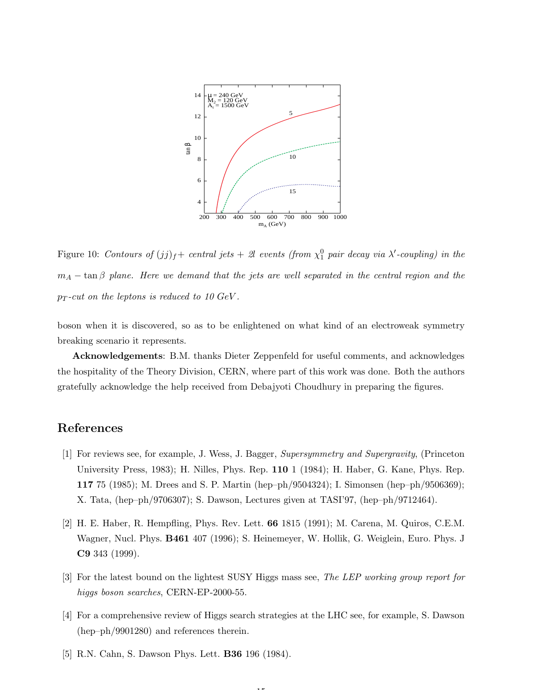

Figure 10: Contours of  $(jj)_f$  + central jets + 2l events (from  $\chi_1^0$  pair decay via  $\lambda'$ -coupling) in the  $m_A - \tan \beta$  plane. Here we demand that the jets are well separated in the central region and the  $p_T$ -cut on the leptons is reduced to 10 GeV.

boson when it is discovered, so as to be enlightened on what kind of an electroweak symmetry breaking scenario it represents.

Acknowledgements: B.M. thanks Dieter Zeppenfeld for useful comments, and acknowledges the hospitality of the Theory Division, CERN, where part of this work was done. Both the authors gratefully acknowledge the help received from Debajyoti Choudhury in preparing the figures.

## References

- [1] For reviews see, for example, J. Wess, J. Bagger, Supersymmetry and Supergravity, (Princeton University Press, 1983); H. Nilles, Phys. Rep. 110 1 (1984); H. Haber, G. Kane, Phys. Rep. 117 75 (1985); M. Drees and S. P. Martin (hep–ph/9504324); I. Simonsen (hep–ph/9506369); X. Tata, (hep–ph/9706307); S. Dawson, Lectures given at TASI'97, (hep–ph/9712464).
- [2] H. E. Haber, R. Hempfling, Phys. Rev. Lett. 66 1815 (1991); M. Carena, M. Quiros, C.E.M. Wagner, Nucl. Phys. B461 407 (1996); S. Heinemeyer, W. Hollik, G. Weiglein, Euro. Phys. J C9 343 (1999).
- [3] For the latest bound on the lightest SUSY Higgs mass see, The LEP working group report for higgs boson searches, CERN-EP-2000-55.
- [4] For a comprehensive review of Higgs search strategies at the LHC see, for example, S. Dawson (hep–ph/9901280) and references therein.

1 H

[5] R.N. Cahn, S. Dawson Phys. Lett. B36 196 (1984).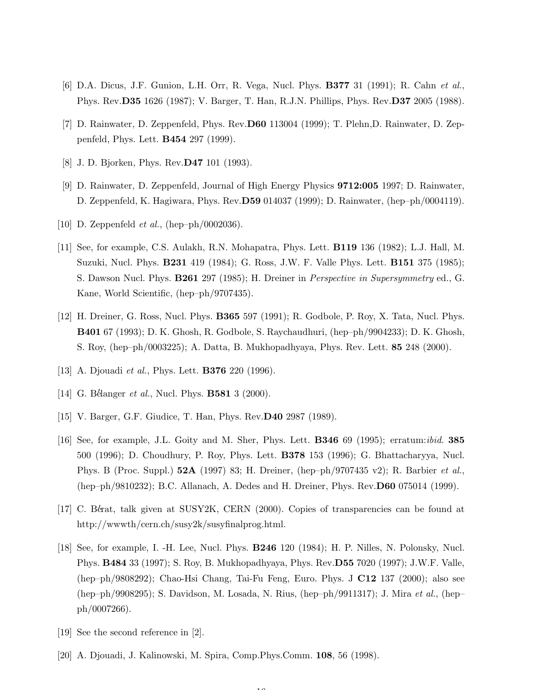- [6] D.A. Dicus, J.F. Gunion, L.H. Orr, R. Vega, Nucl. Phys. B377 31 (1991); R. Cahn et al., Phys. Rev.D35 1626 (1987); V. Barger, T. Han, R.J.N. Phillips, Phys. Rev.D37 2005 (1988).
- [7] D. Rainwater, D. Zeppenfeld, Phys. Rev.D60 113004 (1999); T. Plehn,D. Rainwater, D. Zeppenfeld, Phys. Lett. B454 297 (1999).
- [8] J. D. Bjorken, Phys. Rev.D47 101 (1993).
- [9] D. Rainwater, D. Zeppenfeld, Journal of High Energy Physics 9712:005 1997; D. Rainwater, D. Zeppenfeld, K. Hagiwara, Phys. Rev.D59 014037 (1999); D. Rainwater, (hep–ph/0004119).
- [10] D. Zeppenfeld  $et \ al.,$  (hep–ph/0002036).
- [11] See, for example, C.S. Aulakh, R.N. Mohapatra, Phys. Lett. B119 136 (1982); L.J. Hall, M. Suzuki, Nucl. Phys. B231 419 (1984); G. Ross, J.W. F. Valle Phys. Lett. B151 375 (1985); S. Dawson Nucl. Phys. B261 297 (1985); H. Dreiner in Perspective in Supersymmetry ed., G. Kane, World Scientific, (hep–ph/9707435).
- [12] H. Dreiner, G. Ross, Nucl. Phys. B365 597 (1991); R. Godbole, P. Roy, X. Tata, Nucl. Phys. B401 67 (1993); D. K. Ghosh, R. Godbole, S. Raychaudhuri, (hep–ph/9904233); D. K. Ghosh, S. Roy, (hep–ph/0003225); A. Datta, B. Mukhopadhyaya, Phys. Rev. Lett. 85 248 (2000).
- [13] A. Djouadi *et al.*, Phys. Lett. **B376** 220 (1996).
- [14] G. Bélanger et al., Nucl. Phys. **B581** 3 (2000).
- [15] V. Barger, G.F. Giudice, T. Han, Phys. Rev.D40 2987 (1989).
- [16] See, for example, J.L. Goity and M. Sher, Phys. Lett. **B346** 69 (1995); erratum:*ibid.* **385** 500 (1996); D. Choudhury, P. Roy, Phys. Lett. B378 153 (1996); G. Bhattacharyya, Nucl. Phys. B (Proc. Suppl.) 52A (1997) 83; H. Dreiner, (hep–ph/9707435 v2); R. Barbier et al., (hep–ph/9810232); B.C. Allanach, A. Dedes and H. Dreiner, Phys. Rev.D60 075014 (1999).
- [17] C. Bérat, talk given at SUSY2K, CERN (2000). Copies of transparencies can be found at http://wwwth/cern.ch/susy2k/susyfinalprog.html.
- [18] See, for example, I. -H. Lee, Nucl. Phys. B246 120 (1984); H. P. Nilles, N. Polonsky, Nucl. Phys. B484 33 (1997); S. Roy, B. Mukhopadhyaya, Phys. Rev.D55 7020 (1997); J.W.F. Valle, (hep–ph/9808292); Chao-Hsi Chang, Tai-Fu Feng, Euro. Phys. J C12 137 (2000); also see (hep–ph/9908295); S. Davidson, M. Losada, N. Rius, (hep–ph/9911317); J. Mira et al., (hep– ph/0007266).

 $\overline{16}$ 

- [19] See the second reference in [2].
- [20] A. Djouadi, J. Kalinowski, M. Spira, Comp.Phys.Comm. 108, 56 (1998).